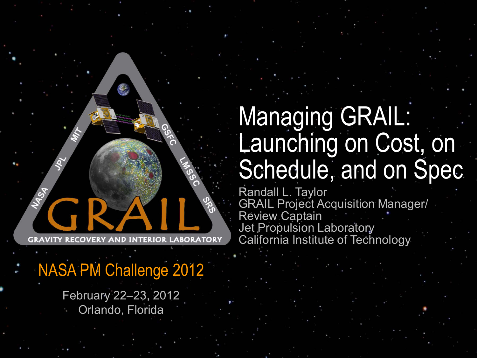NASA PM Challenge 2012

February 22–23, 2012 Orlando, Florida

# Managing GRAIL: Launching on Cost, on Schedule, and on Spec

Randall L. Taylor GRAIL Project Acquisition Manager/ Review Captain Jet Propulsion Laboratory California Institute of Technology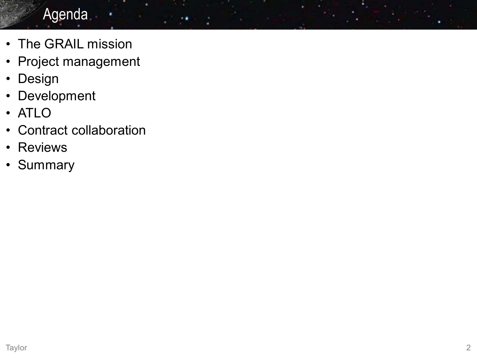## Agenda

- The GRAIL mission
- Project management
- Design
- Development
- ATLO
- Contract collaboration
- Reviews
- Summary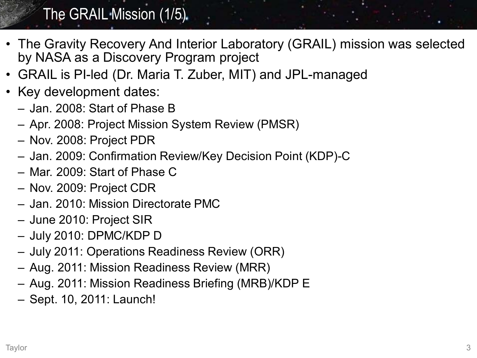## The GRAIL Mission (1/5).

- The Gravity Recovery And Interior Laboratory (GRAIL) mission was selected by NASA as a Discovery Program project
- GRAIL is PI-led (Dr. Maria T. Zuber, MIT) and JPL-managed
- Key development dates:
	- Jan. 2008: Start of Phase B
	- Apr. 2008: Project Mission System Review (PMSR)
	- Nov. 2008: Project PDR
	- Jan. 2009: Confirmation Review/Key Decision Point (KDP)-C
	- Mar. 2009: Start of Phase C
	- Nov. 2009: Project CDR
	- Jan. 2010: Mission Directorate PMC
	- June 2010: Project SIR
	- July 2010: DPMC/KDP D
	- July 2011: Operations Readiness Review (ORR)
	- Aug. 2011: Mission Readiness Review (MRR)
	- Aug. 2011: Mission Readiness Briefing (MRB)/KDP E
	- Sept. 10, 2011: Launch!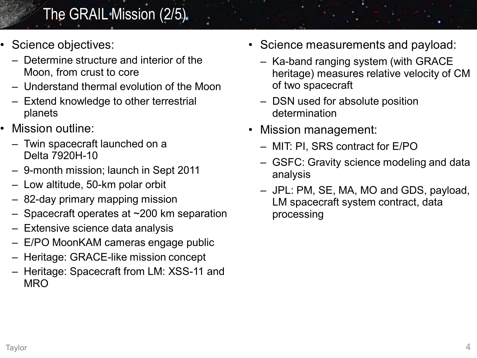## The GRAIL Mission (2/5)

- Science objectives:
	- Determine structure and interior of the Moon, from crust to core
	- Understand thermal evolution of the Moon
	- Extend knowledge to other terrestrial planets
- Mission outline:
	- Twin spacecraft launched on a Delta 7920H-10
	- 9-month mission; launch in Sept 2011
	- Low altitude, 50-km polar orbit
	- 82-day primary mapping mission
	- Spacecraft operates at ~200 km separation
	- Extensive science data analysis
	- E/PO MoonKAM cameras engage public
	- Heritage: GRACE-like mission concept
	- Heritage: Spacecraft from LM: XSS-11 and **MRO**
- Science measurements and payload:
	- Ka-band ranging system (with GRACE heritage) measures relative velocity of CM of two spacecraft
	- DSN used for absolute position determination
- Mission management:
	- MIT: PI, SRS contract for E/PO
	- GSFC: Gravity science modeling and data analysis
	- JPL: PM, SE, MA, MO and GDS, payload, LM spacecraft system contract, data processing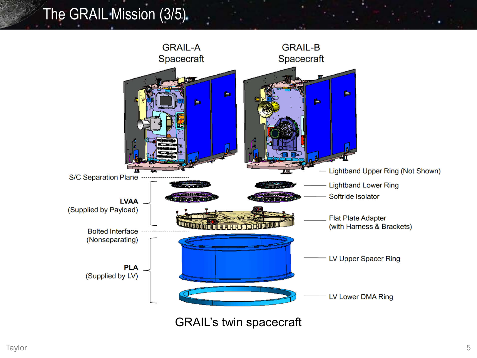## The GRAIL Mission (3/5).

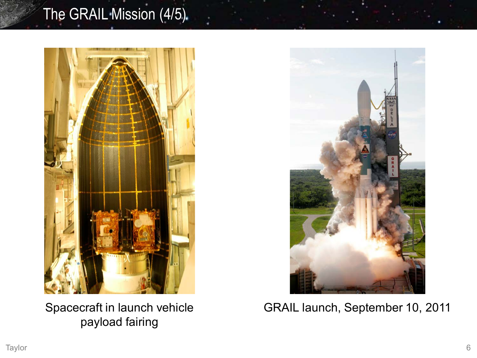## The GRAIL Mission (4/5)



Spacecraft in launch vehicle payload fairing



GRAIL launch, September 10, 2011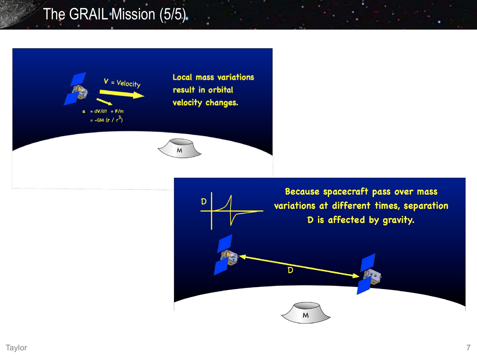## The GRAIL Mission (5/5)



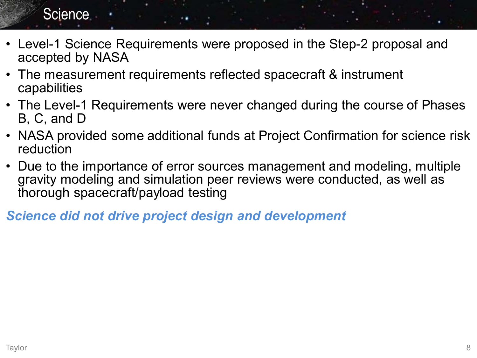#### **Science**

- Level-1 Science Requirements were proposed in the Step-2 proposal and accepted by NASA
- The measurement requirements reflected spacecraft & instrument capabilities
- The Level-1 Requirements were never changed during the course of Phases B, C, and D
- NASA provided some additional funds at Project Confirmation for science risk reduction
- Due to the importance of error sources management and modeling, multiple gravity modeling and simulation peer reviews were conducted, as well as thorough spacecraft/payload testing

*Science did not drive project design and development*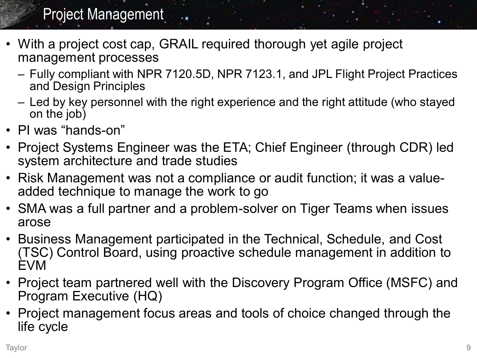## Project Management

- With a project cost cap, GRAIL required thorough yet agile project management processes
	- Fully compliant with NPR 7120.5D, NPR 7123.1, and JPL Flight Project Practices and Design Principles
	- Led by key personnel with the right experience and the right attitude (who stayed on the job)
- PI was "hands-on"
- Project Systems Engineer was the ETA; Chief Engineer (through CDR) led system architecture and trade studies
- Risk Management was not a compliance or audit function; it was a valueadded technique to manage the work to go
- SMA was a full partner and a problem-solver on Tiger Teams when issues arose
- Business Management participated in the Technical, Schedule, and Cost (TSC) Control Board, using proactive schedule management in addition to EVM
- Project team partnered well with the Discovery Program Office (MSFC) and Program Executive (HQ)
- Project management focus areas and tools of choice changed through the life cycle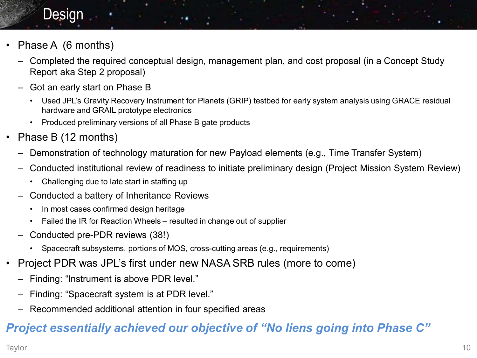#### **Design**

- Phase A (6 months)
	- Completed the required conceptual design, management plan, and cost proposal (in a Concept Study Report aka Step 2 proposal)
	- Got an early start on Phase B
		- Used JPL's Gravity Recovery Instrument for Planets (GRIP) testbed for early system analysis using GRACE residual hardware and GRAIL prototype electronics
		- Produced preliminary versions of all Phase B gate products
- Phase B (12 months)
	- Demonstration of technology maturation for new Payload elements (e.g., Time Transfer System)
	- Conducted institutional review of readiness to initiate preliminary design (Project Mission System Review)
		- Challenging due to late start in staffing up
	- Conducted a battery of Inheritance Reviews
		- In most cases confirmed design heritage
		- Failed the IR for Reaction Wheels resulted in change out of supplier
	- Conducted pre-PDR reviews (38!)
		- Spacecraft subsystems, portions of MOS, cross-cutting areas (e.g., requirements)
- Project PDR was JPL's first under new NASA SRB rules (more to come)
	- Finding: "Instrument is above PDR level."
	- Finding: "Spacecraft system is at PDR level."
	- Recommended additional attention in four specified areas

#### *Project essentially achieved our objective of "No liens going into Phase C"*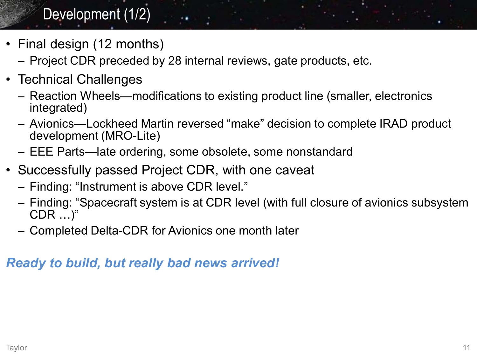## Development (1/2)

- Final design (12 months)
	- Project CDR preceded by 28 internal reviews, gate products, etc.
- Technical Challenges
	- Reaction Wheels—modifications to existing product line (smaller, electronics integrated)
	- Avionics—Lockheed Martin reversed "make" decision to complete IRAD product development (MRO-Lite)
	- EEE Parts—late ordering, some obsolete, some nonstandard
- Successfully passed Project CDR, with one caveat
	- Finding: "Instrument is above CDR level."
	- Finding: "Spacecraft system is at CDR level (with full closure of avionics subsystem CDR …)"
	- Completed Delta-CDR for Avionics one month later

#### *Ready to build, but really bad news arrived!*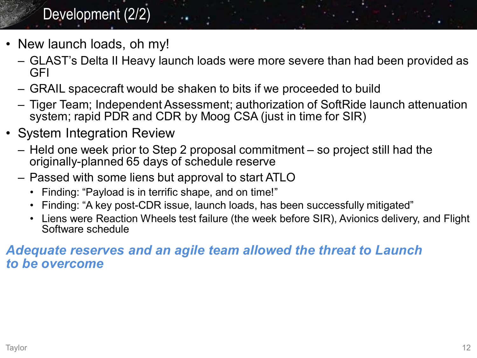## Development (2/2)

- New launch loads, oh my!
	- GLAST's Delta II Heavy launch loads were more severe than had been provided as GFI
	- GRAIL spacecraft would be shaken to bits if we proceeded to build
	- Tiger Team; Independent Assessment; authorization of SoftRide launch attenuation system; rapid PDR and CDR by Moog CSA (just in time for SIR)
- System Integration Review
	- Held one week prior to Step 2 proposal commitment so project still had the originally-planned 65 days of schedule reserve
	- Passed with some liens but approval to start ATLO
		- Finding: "Payload is in terrific shape, and on time!"
		- Finding: "A key post-CDR issue, launch loads, has been successfully mitigated"
		- Liens were Reaction Wheels test failure (the week before SIR), Avionics delivery, and Flight Software schedule

#### *Adequate reserves and an agile team allowed the threat to Launch to be overcome*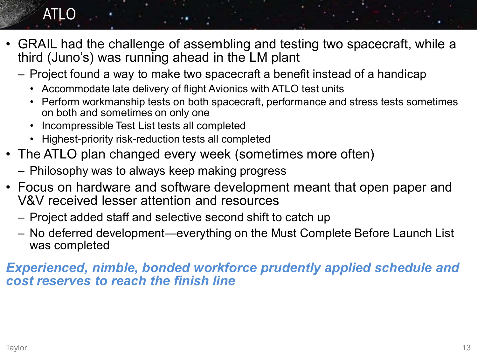## ATLO

- GRAIL had the challenge of assembling and testing two spacecraft, while a third (Juno's) was running ahead in the LM plant
	- Project found a way to make two spacecraft a benefit instead of a handicap
		- Accommodate late delivery of flight Avionics with ATLO test units
		- Perform workmanship tests on both spacecraft, performance and stress tests sometimes on both and sometimes on only one
		- Incompressible Test List tests all completed
		- Highest-priority risk-reduction tests all completed
- The ATLO plan changed every week (sometimes more often)
	- Philosophy was to always keep making progress
- Focus on hardware and software development meant that open paper and V&V received lesser attention and resources
	- Project added staff and selective second shift to catch up
	- No deferred development—everything on the Must Complete Before Launch List was completed

*Experienced, nimble, bonded workforce prudently applied schedule and cost reserves to reach the finish line*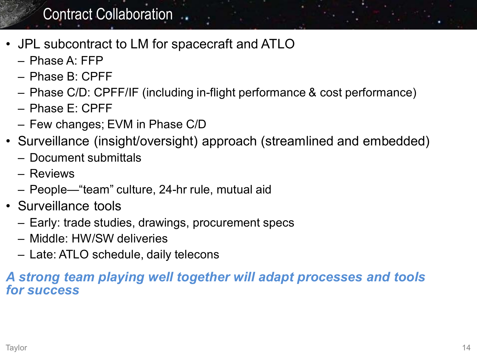#### Contract Collaboration ..

- JPL subcontract to LM for spacecraft and ATLO
	- Phase A: FFP
	- Phase B: CPFF
	- Phase C/D: CPFF/IF (including in-flight performance & cost performance)
	- $-$  Phase  $F: C$ PFF
	- Few changes; EVM in Phase C/D
- Surveillance (insight/oversight) approach (streamlined and embedded)
	- Document submittals
	- Reviews
	- People—"team" culture, 24-hr rule, mutual aid
- Surveillance tools
	- Early: trade studies, drawings, procurement specs
	- Middle: HW/SW deliveries
	- Late: ATLO schedule, daily telecons

#### *A strong team playing well together will adapt processes and tools for success*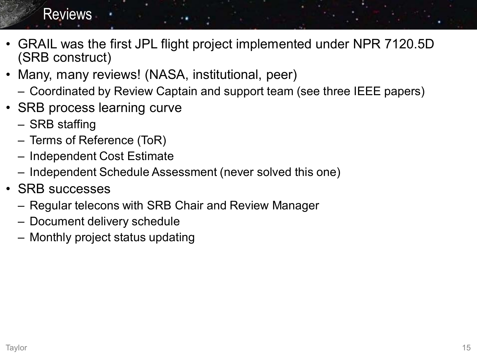#### **Reviews**

- GRAIL was the first JPL flight project implemented under NPR 7120.5D (SRB construct)
- Many, many reviews! (NASA, institutional, peer)
	- Coordinated by Review Captain and support team (see three IEEE papers)
- SRB process learning curve
	- SRB staffing
	- Terms of Reference (ToR)
	- Independent Cost Estimate
	- Independent Schedule Assessment (never solved this one)
- SRB successes
	- Regular telecons with SRB Chair and Review Manager
	- Document delivery schedule
	- Monthly project status updating